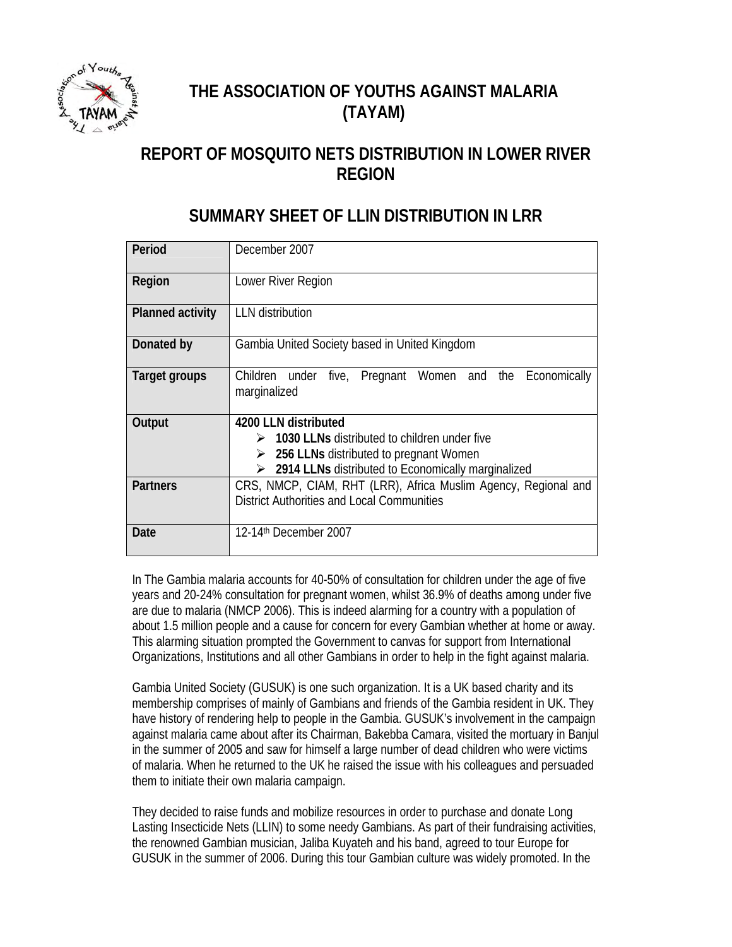

# **THE ASSOCIATION OF YOUTHS AGAINST MALARIA (TAYAM)**

## **REPORT OF MOSQUITO NETS DISTRIBUTION IN LOWER RIVER REGION**

## **SUMMARY SHEET OF LLIN DISTRIBUTION IN LRR**

| Period                  | December 2007                                                                                                                                                                                   |  |  |  |  |  |  |
|-------------------------|-------------------------------------------------------------------------------------------------------------------------------------------------------------------------------------------------|--|--|--|--|--|--|
| Region                  | Lower River Region                                                                                                                                                                              |  |  |  |  |  |  |
| <b>Planned activity</b> | <b>LLN</b> distribution                                                                                                                                                                         |  |  |  |  |  |  |
| Donated by              | Gambia United Society based in United Kingdom                                                                                                                                                   |  |  |  |  |  |  |
| Target groups           | the<br>five, Pregnant Women and<br>Economically<br>Children under<br>marginalized                                                                                                               |  |  |  |  |  |  |
| Output                  | 4200 LLN distributed<br>$\triangleright$ 1030 LLNs distributed to children under five<br>256 LLNs distributed to pregnant Women<br>≻<br>2914 LLNs distributed to Economically marginalized<br>≻ |  |  |  |  |  |  |
| <b>Partners</b>         | CRS, NMCP, CIAM, RHT (LRR), Africa Muslim Agency, Regional and<br>District Authorities and Local Communities                                                                                    |  |  |  |  |  |  |
| <b>Date</b>             | 12-14 <sup>th</sup> December 2007                                                                                                                                                               |  |  |  |  |  |  |

In The Gambia malaria accounts for 40-50% of consultation for children under the age of five years and 20-24% consultation for pregnant women, whilst 36.9% of deaths among under five are due to malaria (NMCP 2006). This is indeed alarming for a country with a population of about 1.5 million people and a cause for concern for every Gambian whether at home or away. This alarming situation prompted the Government to canvas for support from International Organizations, Institutions and all other Gambians in order to help in the fight against malaria.

Gambia United Society (GUSUK) is one such organization. It is a UK based charity and its membership comprises of mainly of Gambians and friends of the Gambia resident in UK. They have history of rendering help to people in the Gambia. GUSUK's involvement in the campaign against malaria came about after its Chairman, Bakebba Camara, visited the mortuary in Banjul in the summer of 2005 and saw for himself a large number of dead children who were victims of malaria. When he returned to the UK he raised the issue with his colleagues and persuaded them to initiate their own malaria campaign.

They decided to raise funds and mobilize resources in order to purchase and donate Long Lasting Insecticide Nets (LLIN) to some needy Gambians. As part of their fundraising activities, the renowned Gambian musician, Jaliba Kuyateh and his band, agreed to tour Europe for GUSUK in the summer of 2006. During this tour Gambian culture was widely promoted. In the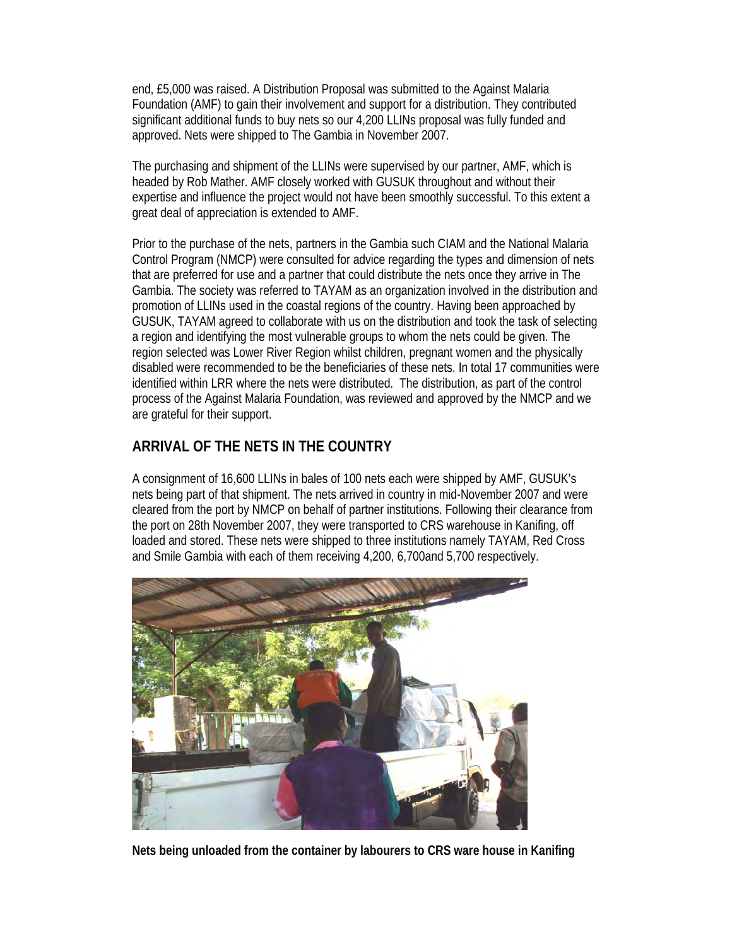end, £5,000 was raised. A Distribution Proposal was submitted to the Against Malaria Foundation (AMF) to gain their involvement and support for a distribution. They contributed significant additional funds to buy nets so our 4,200 LLINs proposal was fully funded and approved. Nets were shipped to The Gambia in November 2007.

The purchasing and shipment of the LLINs were supervised by our partner, AMF, which is headed by Rob Mather. AMF closely worked with GUSUK throughout and without their expertise and influence the project would not have been smoothly successful. To this extent a great deal of appreciation is extended to AMF.

Prior to the purchase of the nets, partners in the Gambia such CIAM and the National Malaria Control Program (NMCP) were consulted for advice regarding the types and dimension of nets that are preferred for use and a partner that could distribute the nets once they arrive in The Gambia. The society was referred to TAYAM as an organization involved in the distribution and promotion of LLINs used in the coastal regions of the country. Having been approached by GUSUK, TAYAM agreed to collaborate with us on the distribution and took the task of selecting a region and identifying the most vulnerable groups to whom the nets could be given. The region selected was Lower River Region whilst children, pregnant women and the physically disabled were recommended to be the beneficiaries of these nets. In total 17 communities were identified within LRR where the nets were distributed. The distribution, as part of the control process of the Against Malaria Foundation, was reviewed and approved by the NMCP and we are grateful for their support.

## **ARRIVAL OF THE NETS IN THE COUNTRY**

A consignment of 16,600 LLINs in bales of 100 nets each were shipped by AMF, GUSUK's nets being part of that shipment. The nets arrived in country in mid-November 2007 and were cleared from the port by NMCP on behalf of partner institutions. Following their clearance from the port on 28th November 2007, they were transported to CRS warehouse in Kanifing, off loaded and stored. These nets were shipped to three institutions namely TAYAM, Red Cross and Smile Gambia with each of them receiving 4,200, 6,700and 5,700 respectively.



**Nets being unloaded from the container by labourers to CRS ware house in Kanifing**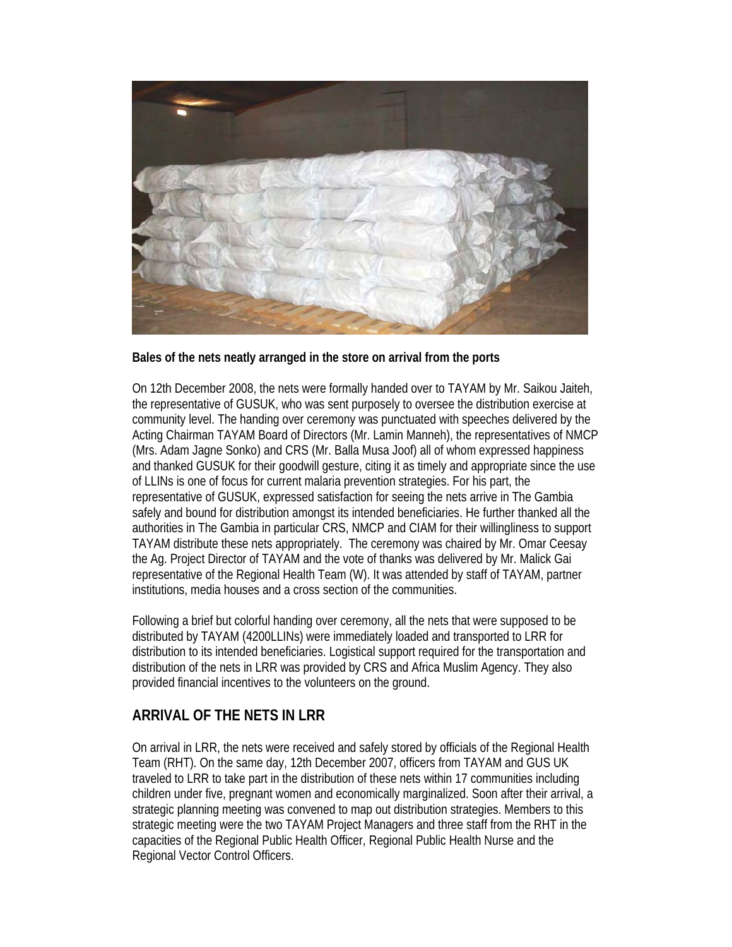

#### **Bales of the nets neatly arranged in the store on arrival from the ports**

On 12th December 2008, the nets were formally handed over to TAYAM by Mr. Saikou Jaiteh, the representative of GUSUK, who was sent purposely to oversee the distribution exercise at community level. The handing over ceremony was punctuated with speeches delivered by the Acting Chairman TAYAM Board of Directors (Mr. Lamin Manneh), the representatives of NMCP (Mrs. Adam Jagne Sonko) and CRS (Mr. Balla Musa Joof) all of whom expressed happiness and thanked GUSUK for their goodwill gesture, citing it as timely and appropriate since the use of LLINs is one of focus for current malaria prevention strategies. For his part, the representative of GUSUK, expressed satisfaction for seeing the nets arrive in The Gambia safely and bound for distribution amongst its intended beneficiaries. He further thanked all the authorities in The Gambia in particular CRS, NMCP and CIAM for their willingliness to support TAYAM distribute these nets appropriately. The ceremony was chaired by Mr. Omar Ceesay the Ag. Project Director of TAYAM and the vote of thanks was delivered by Mr. Malick Gai representative of the Regional Health Team (W). It was attended by staff of TAYAM, partner institutions, media houses and a cross section of the communities.

Following a brief but colorful handing over ceremony, all the nets that were supposed to be distributed by TAYAM (4200LLINs) were immediately loaded and transported to LRR for distribution to its intended beneficiaries. Logistical support required for the transportation and distribution of the nets in LRR was provided by CRS and Africa Muslim Agency. They also provided financial incentives to the volunteers on the ground.

## **ARRIVAL OF THE NETS IN LRR**

On arrival in LRR, the nets were received and safely stored by officials of the Regional Health Team (RHT). On the same day, 12th December 2007, officers from TAYAM and GUS UK traveled to LRR to take part in the distribution of these nets within 17 communities including children under five, pregnant women and economically marginalized. Soon after their arrival, a strategic planning meeting was convened to map out distribution strategies. Members to this strategic meeting were the two TAYAM Project Managers and three staff from the RHT in the capacities of the Regional Public Health Officer, Regional Public Health Nurse and the Regional Vector Control Officers.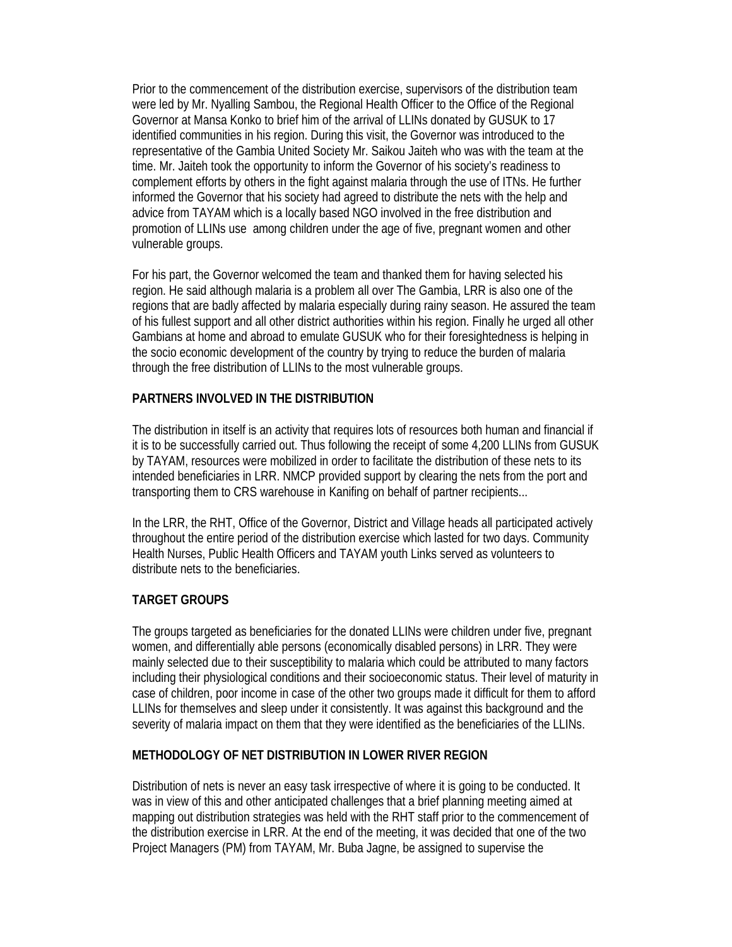Prior to the commencement of the distribution exercise, supervisors of the distribution team were led by Mr. Nyalling Sambou, the Regional Health Officer to the Office of the Regional Governor at Mansa Konko to brief him of the arrival of LLINs donated by GUSUK to 17 identified communities in his region. During this visit, the Governor was introduced to the representative of the Gambia United Society Mr. Saikou Jaiteh who was with the team at the time. Mr. Jaiteh took the opportunity to inform the Governor of his society's readiness to complement efforts by others in the fight against malaria through the use of ITNs. He further informed the Governor that his society had agreed to distribute the nets with the help and advice from TAYAM which is a locally based NGO involved in the free distribution and promotion of LLINs use among children under the age of five, pregnant women and other vulnerable groups.

For his part, the Governor welcomed the team and thanked them for having selected his region. He said although malaria is a problem all over The Gambia, LRR is also one of the regions that are badly affected by malaria especially during rainy season. He assured the team of his fullest support and all other district authorities within his region. Finally he urged all other Gambians at home and abroad to emulate GUSUK who for their foresightedness is helping in the socio economic development of the country by trying to reduce the burden of malaria through the free distribution of LLINs to the most vulnerable groups.

#### **PARTNERS INVOLVED IN THE DISTRIBUTION**

The distribution in itself is an activity that requires lots of resources both human and financial if it is to be successfully carried out. Thus following the receipt of some 4,200 LLINs from GUSUK by TAYAM, resources were mobilized in order to facilitate the distribution of these nets to its intended beneficiaries in LRR. NMCP provided support by clearing the nets from the port and transporting them to CRS warehouse in Kanifing on behalf of partner recipients...

In the LRR, the RHT, Office of the Governor, District and Village heads all participated actively throughout the entire period of the distribution exercise which lasted for two days. Community Health Nurses, Public Health Officers and TAYAM youth Links served as volunteers to distribute nets to the beneficiaries.

#### **TARGET GROUPS**

The groups targeted as beneficiaries for the donated LLINs were children under five, pregnant women, and differentially able persons (economically disabled persons) in LRR. They were mainly selected due to their susceptibility to malaria which could be attributed to many factors including their physiological conditions and their socioeconomic status. Their level of maturity in case of children, poor income in case of the other two groups made it difficult for them to afford LLINs for themselves and sleep under it consistently. It was against this background and the severity of malaria impact on them that they were identified as the beneficiaries of the LLINs.

#### **METHODOLOGY OF NET DISTRIBUTION IN LOWER RIVER REGION**

Distribution of nets is never an easy task irrespective of where it is going to be conducted. It was in view of this and other anticipated challenges that a brief planning meeting aimed at mapping out distribution strategies was held with the RHT staff prior to the commencement of the distribution exercise in LRR. At the end of the meeting, it was decided that one of the two Project Managers (PM) from TAYAM, Mr. Buba Jagne, be assigned to supervise the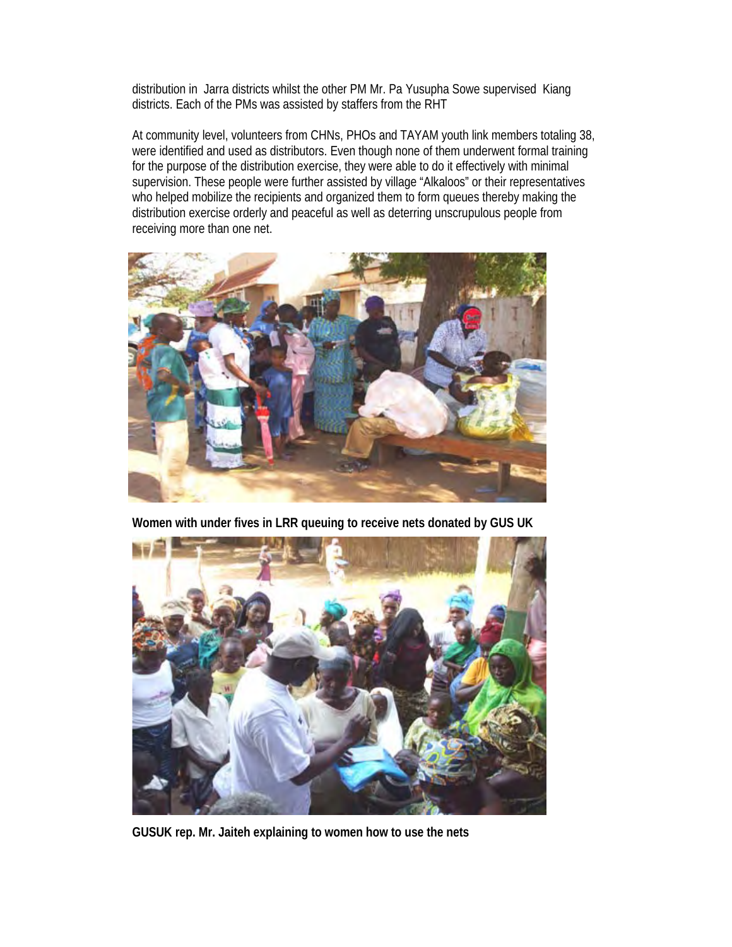distribution in Jarra districts whilst the other PM Mr. Pa Yusupha Sowe supervised Kiang districts. Each of the PMs was assisted by staffers from the RHT

At community level, volunteers from CHNs, PHOs and TAYAM youth link members totaling 38, were identified and used as distributors. Even though none of them underwent formal training for the purpose of the distribution exercise, they were able to do it effectively with minimal supervision. These people were further assisted by village "Alkaloos" or their representatives who helped mobilize the recipients and organized them to form queues thereby making the distribution exercise orderly and peaceful as well as deterring unscrupulous people from receiving more than one net.



**Women with under fives in LRR queuing to receive nets donated by GUS UK** 



**GUSUK rep. Mr. Jaiteh explaining to women how to use the nets**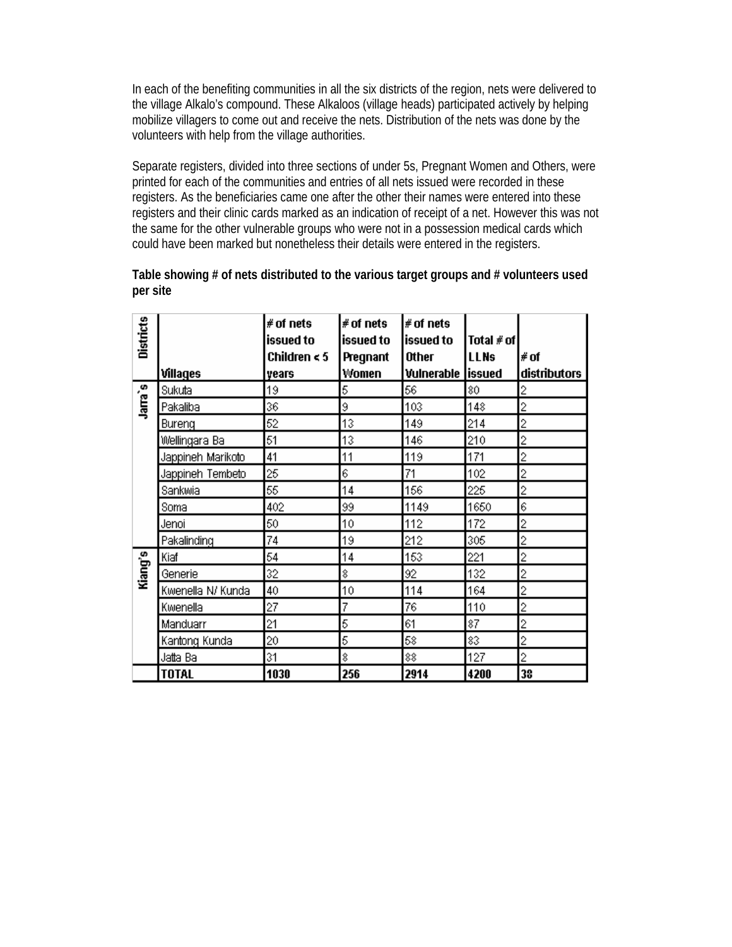In each of the benefiting communities in all the six districts of the region, nets were delivered to the village Alkalo's compound. These Alkaloos (village heads) participated actively by helping mobilize villagers to come out and receive the nets. Distribution of the nets was done by the volunteers with help from the village authorities.

Separate registers, divided into three sections of under 5s, Pregnant Women and Others, were printed for each of the communities and entries of all nets issued were recorded in these registers. As the beneficiaries came one after the other their names were entered into these registers and their clinic cards marked as an indication of receipt of a net. However this was not the same for the other vulnerable groups who were not in a possession medical cards which could have been marked but nonetheless their details were entered in the registers.

#### **Table showing # of nets distributed to the various target groups and # volunteers used per site**

| Districts |                   | $#$ of nets<br>issued to<br>Children < 5 | $\#$ of nets<br>lissued to<br>Pregnant | $#$ of nets<br>issued to<br><b>Other</b> | Total # of<br><b>LLNs</b> | # of                    |
|-----------|-------------------|------------------------------------------|----------------------------------------|------------------------------------------|---------------------------|-------------------------|
|           | Villages          | vears                                    | Women                                  | Vulnerable lissued                       |                           | distributors            |
| Jarra's   | Sukuta            | 19                                       | 5                                      | 56                                       | 80                        | 2                       |
|           | Pakaliba          | 36                                       | 9                                      | 103                                      | 148                       | $\overline{c}$          |
|           | Bureng            | 52                                       | 13                                     | 149                                      | 214                       | 2                       |
|           | Wellingara Ba     | 51                                       | 13                                     | 146                                      | 210                       | $\overline{c}$          |
|           | Jappineh Marikoto | 41                                       | 11                                     | 119                                      | 171                       | $\overline{c}$          |
|           | Jappineh Tembeto  | 25                                       | 6                                      | 71                                       | 102                       | $\overline{\mathbf{c}}$ |
|           | Sankwia           | 55                                       | 14                                     | 156                                      | 225                       | 2                       |
|           | Soma              | 402                                      | 99                                     | 1149                                     | 1650                      | 6                       |
|           | Jenoi             | 50                                       | 10                                     | 112                                      | 172                       | $\overline{c}$          |
|           | Pakalinding       | 74                                       | 19                                     | 212                                      | 305                       | 2                       |
| Kiang's   | Kiaf              | 54                                       | 14                                     | 153                                      | 221                       | $\overline{c}$          |
|           | Generie           | 32                                       | \$                                     | 92                                       | 132                       | 2                       |
|           | Kwenella N/ Kunda | 40                                       | 10                                     | 114                                      | 164                       | $\overline{c}$          |
|           | Kwenella          | 27                                       | 7                                      | 76                                       | 110                       | $\overline{c}$          |
|           | Manduarr          | 21                                       | 5                                      | 61                                       | 87                        | 2                       |
|           | Kantong Kunda     | 20                                       | 5                                      | 58                                       | 83                        | $\overline{c}$          |
|           | Jatta Ba          | 31                                       | ₿                                      | 88                                       | 127                       | 2                       |
|           | TOTAL             | 1030                                     | 256                                    | 2914                                     | 4200                      | 38                      |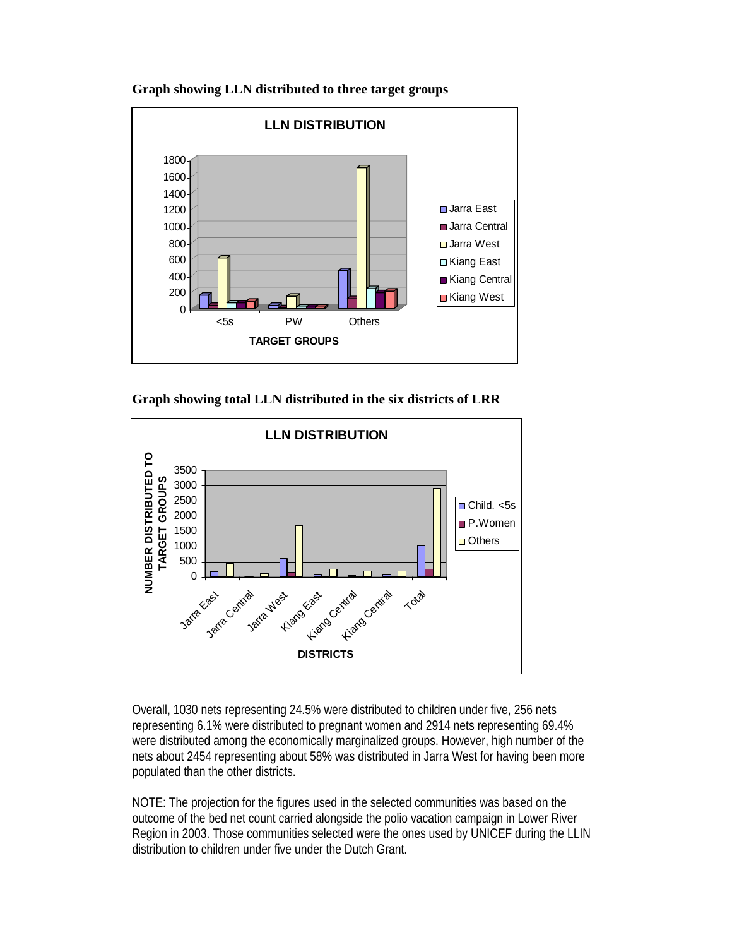

**Graph showing LLN distributed to three target groups** 





Overall, 1030 nets representing 24.5% were distributed to children under five, 256 nets representing 6.1% were distributed to pregnant women and 2914 nets representing 69.4% were distributed among the economically marginalized groups. However, high number of the nets about 2454 representing about 58% was distributed in Jarra West for having been more populated than the other districts.

NOTE: The projection for the figures used in the selected communities was based on the outcome of the bed net count carried alongside the polio vacation campaign in Lower River Region in 2003. Those communities selected were the ones used by UNICEF during the LLIN distribution to children under five under the Dutch Grant.